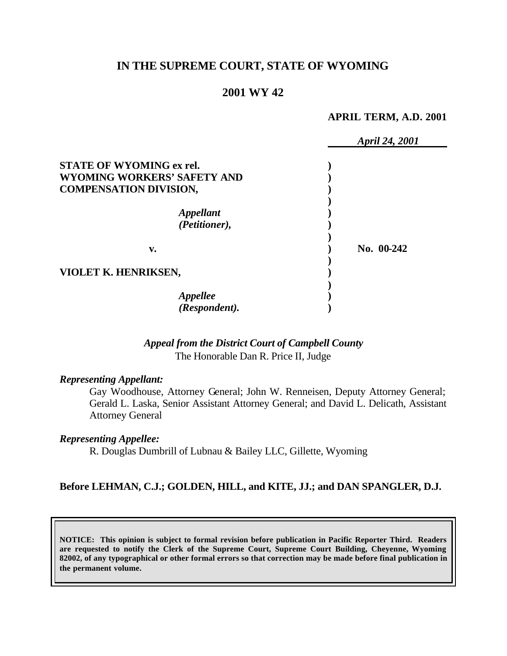## **IN THE SUPREME COURT, STATE OF WYOMING**

#### **2001 WY 42**

#### **APRIL TERM, A.D. 2001**

|                                 | April 24, 2001 |
|---------------------------------|----------------|
| <b>STATE OF WYOMING ex rel.</b> |                |
| WYOMING WORKERS' SAFETY AND     |                |
| <b>COMPENSATION DIVISION,</b>   |                |
|                                 |                |
| <i><b>Appellant</b></i>         |                |
| (Petitioner),                   |                |
| v.                              | No. 00-242     |
|                                 |                |
| VIOLET K. HENRIKSEN,            |                |
|                                 |                |
| Appellee<br>(Respondent).       |                |
|                                 |                |

## *Appeal from the District Court of Campbell County* The Honorable Dan R. Price II, Judge

#### *Representing Appellant:*

Gay Woodhouse, Attorney General; John W. Renneisen, Deputy Attorney General; Gerald L. Laska, Senior Assistant Attorney General; and David L. Delicath, Assistant Attorney General

#### *Representing Appellee:*

R. Douglas Dumbrill of Lubnau & Bailey LLC, Gillette, Wyoming

### **Before LEHMAN, C.J.; GOLDEN, HILL, and KITE, JJ.; and DAN SPANGLER, D.J.**

**NOTICE: This opinion is subject to formal revision before publication in Pacific Reporter Third. Readers are requested to notify the Clerk of the Supreme Court, Supreme Court Building, Cheyenne, Wyoming 82002, of any typographical or other formal errors so that correction may be made before final publication in the permanent volume.**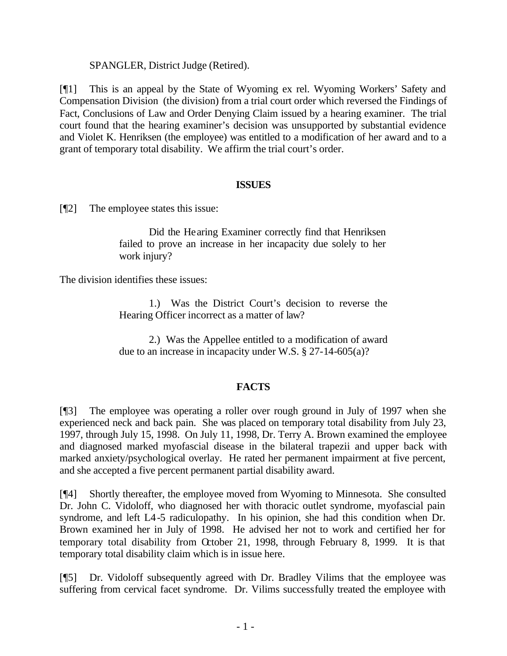#### SPANGLER, District Judge (Retired).

[¶1] This is an appeal by the State of Wyoming ex rel. Wyoming Workers' Safety and Compensation Division (the division) from a trial court order which reversed the Findings of Fact, Conclusions of Law and Order Denying Claim issued by a hearing examiner. The trial court found that the hearing examiner's decision was unsupported by substantial evidence and Violet K. Henriksen (the employee) was entitled to a modification of her award and to a grant of temporary total disability. We affirm the trial court's order.

#### **ISSUES**

[¶2] The employee states this issue:

Did the Hearing Examiner correctly find that Henriksen failed to prove an increase in her incapacity due solely to her work injury?

The division identifies these issues:

1.) Was the District Court's decision to reverse the Hearing Officer incorrect as a matter of law?

2.) Was the Appellee entitled to a modification of award due to an increase in incapacity under W.S. § 27-14-605(a)?

# **FACTS**

[¶3] The employee was operating a roller over rough ground in July of 1997 when she experienced neck and back pain. She was placed on temporary total disability from July 23, 1997, through July 15, 1998. On July 11, 1998, Dr. Terry A. Brown examined the employee and diagnosed marked myofascial disease in the bilateral trapezii and upper back with marked anxiety/psychological overlay. He rated her permanent impairment at five percent, and she accepted a five percent permanent partial disability award.

[¶4] Shortly thereafter, the employee moved from Wyoming to Minnesota. She consulted Dr. John C. Vidoloff, who diagnosed her with thoracic outlet syndrome, myofascial pain syndrome, and left L4-5 radiculopathy. In his opinion, she had this condition when Dr. Brown examined her in July of 1998. He advised her not to work and certified her for temporary total disability from October 21, 1998, through February 8, 1999. It is that temporary total disability claim which is in issue here.

[¶5] Dr. Vidoloff subsequently agreed with Dr. Bradley Vilims that the employee was suffering from cervical facet syndrome. Dr. Vilims successfully treated the employee with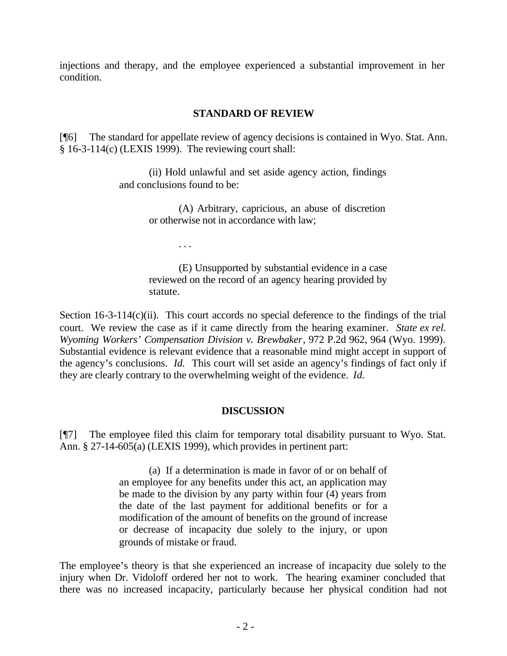injections and therapy, and the employee experienced a substantial improvement in her condition.

### **STANDARD OF REVIEW**

[¶6] The standard for appellate review of agency decisions is contained in Wyo. Stat. Ann. § 16-3-114(c) (LEXIS 1999). The reviewing court shall:

> (ii) Hold unlawful and set aside agency action, findings and conclusions found to be:

> > (A) Arbitrary, capricious, an abuse of discretion or otherwise not in accordance with law;

> > > . . .

(E) Unsupported by substantial evidence in a case reviewed on the record of an agency hearing provided by statute.

Section  $16-3-114(c)(ii)$ . This court accords no special deference to the findings of the trial court. We review the case as if it came directly from the hearing examiner. *State ex rel. Wyoming Workers' Compensation Division v. Brewbaker*, 972 P.2d 962, 964 (Wyo. 1999). Substantial evidence is relevant evidence that a reasonable mind might accept in support of the agency's conclusions. *Id.* This court will set aside an agency's findings of fact only if they are clearly contrary to the overwhelming weight of the evidence. *Id.*

#### **DISCUSSION**

[¶7] The employee filed this claim for temporary total disability pursuant to Wyo. Stat. Ann. § 27-14-605(a) (LEXIS 1999), which provides in pertinent part:

> (a) If a determination is made in favor of or on behalf of an employee for any benefits under this act, an application may be made to the division by any party within four  $\overline{4}$ ) years from the date of the last payment for additional benefits or for a modification of the amount of benefits on the ground of increase or decrease of incapacity due solely to the injury, or upon grounds of mistake or fraud.

The employee's theory is that she experienced an increase of incapacity due solely to the injury when Dr. Vidoloff ordered her not to work. The hearing examiner concluded that there was no increased incapacity, particularly because her physical condition had not